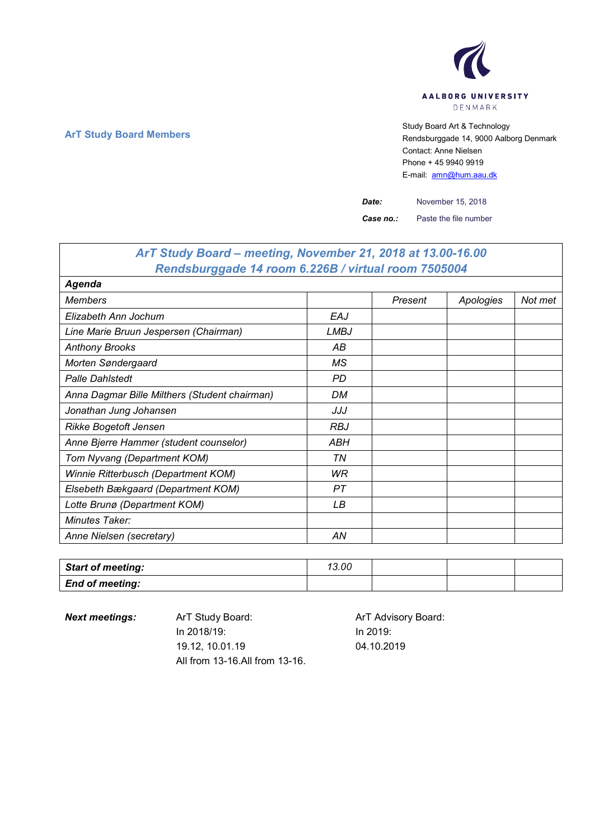

## **ArT Study Board Members** Study Board Art & Technology **Art Study Board Art & Technology** Rendsburggade 14, 9000 Aalborg Denmark Contact: Anne Nielsen Phone + 45 9940 9919 E-mail: [amn@hum.aau.dk](mailto:amn@hum.aau.dk)

٦

*Date:* November 15, 2018

*Case no.:* Paste the file number

| ArT Study Board – meeting, November 21, 2018 at 13.00-16.00 |             |         |           |         |
|-------------------------------------------------------------|-------------|---------|-----------|---------|
| Rendsburggade 14 room 6.226B / virtual room 7505004         |             |         |           |         |
| Agenda                                                      |             |         |           |         |
| <b>Members</b>                                              |             | Present | Apologies | Not met |
| Elizabeth Ann Jochum                                        | EAJ         |         |           |         |
| Line Marie Bruun Jespersen (Chairman)                       | <b>LMBJ</b> |         |           |         |
| <b>Anthony Brooks</b>                                       | АB          |         |           |         |
| Morten Søndergaard                                          | МS          |         |           |         |
| <b>Palle Dahlstedt</b>                                      | <b>PD</b>   |         |           |         |
| Anna Dagmar Bille Milthers (Student chairman)               | DM          |         |           |         |
| Jonathan Jung Johansen                                      | JJJ         |         |           |         |
| <b>Rikke Bogetoft Jensen</b>                                | <b>RBJ</b>  |         |           |         |
| Anne Bjerre Hammer (student counselor)                      | ABH         |         |           |         |
| Tom Nyvang (Department KOM)                                 | TN          |         |           |         |
| Winnie Ritterbusch (Department KOM)                         | WR.         |         |           |         |
| Elsebeth Bækgaard (Department KOM)                          | PТ          |         |           |         |
| Lotte Brunø (Department KOM)                                | LВ          |         |           |         |
| Minutes Taker:                                              |             |         |           |         |
| Anne Nielsen (secretary)                                    | AN          |         |           |         |

| <b>Start of meeting:</b> | 13.00 |  |  |
|--------------------------|-------|--|--|
| <b>End of meeting:</b>   |       |  |  |

 $\mathsf{r}$ 

**Next meetings:** ArT Study Board: ArT Advisory Board: In 2018/19: 19.12, 10.01.19 All from 13-16.All from 13-16.

In 2019: 04.10.2019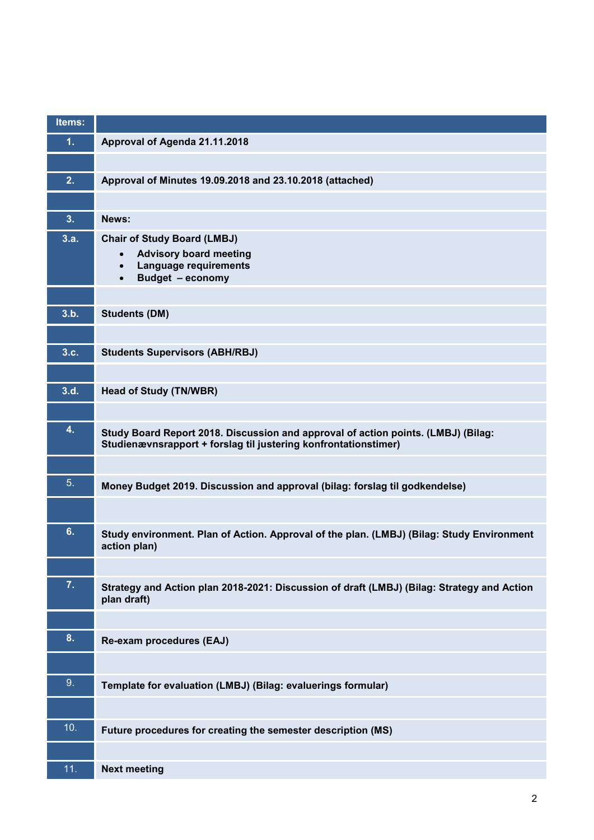| Items:         |                                                                                                                                                      |
|----------------|------------------------------------------------------------------------------------------------------------------------------------------------------|
| 1.             | Approval of Agenda 21.11.2018                                                                                                                        |
|                |                                                                                                                                                      |
| 2.             | Approval of Minutes 19.09.2018 and 23.10.2018 (attached)                                                                                             |
|                |                                                                                                                                                      |
| 3.             | News:                                                                                                                                                |
| 3.a.           | <b>Chair of Study Board (LMBJ)</b>                                                                                                                   |
|                | <b>Advisory board meeting</b><br>$\bullet$<br>Language requirements<br>$\bullet$                                                                     |
|                | Budget - economy<br>$\bullet$                                                                                                                        |
|                |                                                                                                                                                      |
| 3.b.           | <b>Students (DM)</b>                                                                                                                                 |
|                |                                                                                                                                                      |
| 3.c.           | <b>Students Supervisors (ABH/RBJ)</b>                                                                                                                |
|                |                                                                                                                                                      |
| 3.d.           | <b>Head of Study (TN/WBR)</b>                                                                                                                        |
|                |                                                                                                                                                      |
| 4.             | Study Board Report 2018. Discussion and approval of action points. (LMBJ) (Bilag:<br>Studienævnsrapport + forslag til justering konfrontationstimer) |
|                |                                                                                                                                                      |
| 5 <sub>1</sub> |                                                                                                                                                      |
|                | Money Budget 2019. Discussion and approval (bilag: forslag til godkendelse)                                                                          |
|                |                                                                                                                                                      |
| 6.             | Study environment. Plan of Action. Approval of the plan. (LMBJ) (Bilag: Study Environment                                                            |
|                | action plan)                                                                                                                                         |
| 7.             |                                                                                                                                                      |
|                | Strategy and Action plan 2018-2021: Discussion of draft (LMBJ) (Bilag: Strategy and Action<br>plan draft)                                            |
|                |                                                                                                                                                      |
| 8.             | Re-exam procedures (EAJ)                                                                                                                             |
|                |                                                                                                                                                      |
| 9.             | Template for evaluation (LMBJ) (Bilag: evaluerings formular)                                                                                         |
|                |                                                                                                                                                      |
|                |                                                                                                                                                      |
| 10.            | Future procedures for creating the semester description (MS)                                                                                         |
|                |                                                                                                                                                      |
| 11.            | <b>Next meeting</b>                                                                                                                                  |